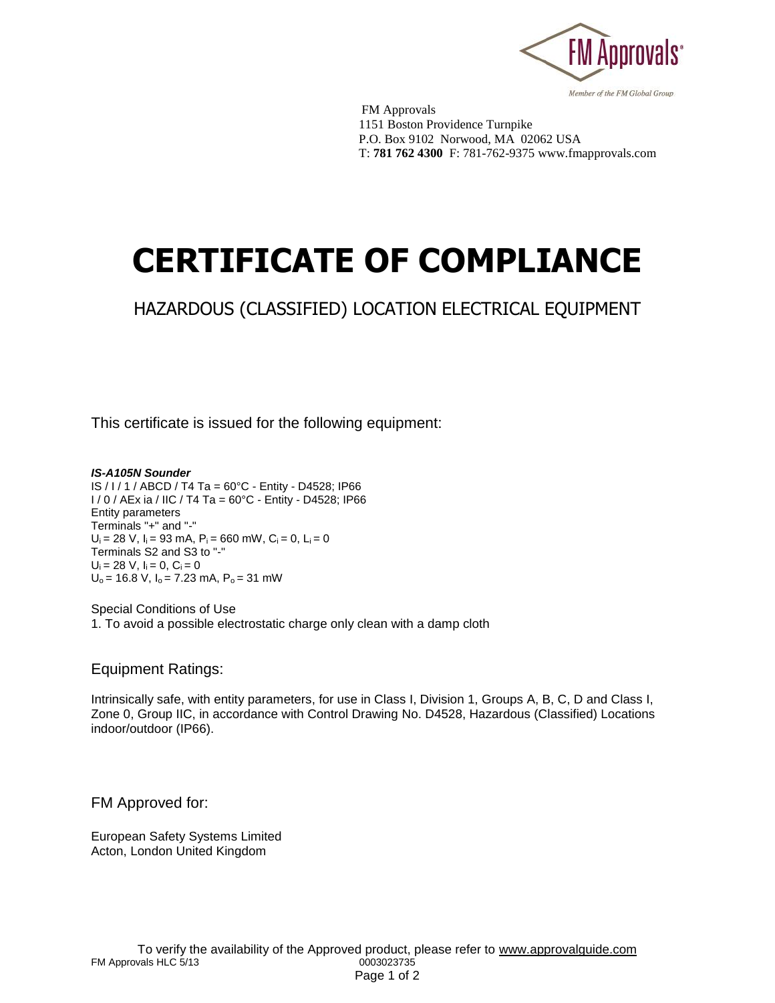

 FM Approvals 1151 Boston Providence Turnpike P.O. Box 9102 Norwood, MA 02062 USA T: **781 762 4300** F: 781-762-9375 www.fmapprovals.com

## **CERTIFICATE OF COMPLIANCE**

## HAZARDOUS (CLASSIFIED) LOCATION ELECTRICAL EQUIPMENT

This certificate is issued for the following equipment:

*IS-A105N Sounder*  IS / I / 1 / ABCD / T4 Ta = 60°C - Entity - D4528; IP66 I / 0 / AEx ia / IIC / T4 Ta = 60°C - Entity - D4528; IP66 Entity parameters Terminals "+" and "-"  $U_i = 28$  V,  $I_i = 93$  mA,  $P_i = 660$  mW,  $C_i = 0$ ,  $L_i = 0$ Terminals S2 and S3 to "-"  $U_i = 28$  V,  $I_i = 0$ ,  $C_i = 0$  $U_0$  = 16.8 V,  $I_0$  = 7.23 mA,  $P_0$  = 31 mW

Special Conditions of Use 1. To avoid a possible electrostatic charge only clean with a damp cloth

Equipment Ratings:

Intrinsically safe, with entity parameters, for use in Class I, Division 1, Groups A, B, C, D and Class I, Zone 0, Group IIC, in accordance with Control Drawing No. D4528, Hazardous (Classified) Locations indoor/outdoor (IP66).

FM Approved for:

European Safety Systems Limited Acton, London United Kingdom